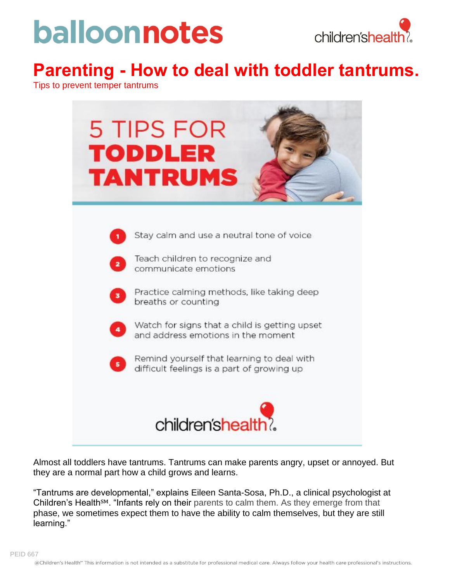# balloonnotes



### **Parenting - How to deal with toddler tantrums.**

Tips to prevent temper tantrums

| <b>5 TIPS FOR</b><br><b>TODDLER</b><br><b>TANTRUMS</b>                                                                                                                                                                                                                                                                                                                                                      |
|-------------------------------------------------------------------------------------------------------------------------------------------------------------------------------------------------------------------------------------------------------------------------------------------------------------------------------------------------------------------------------------------------------------|
| Stay calm and use a neutral tone of voice<br>Teach children to recognize and<br>$\overline{\mathbf{z}}$<br>communicate emotions<br>Practice calming methods, like taking deep<br>3<br>breaths or counting<br>Watch for signs that a child is getting upset<br>and address emotions in the moment<br>Remind yourself that learning to deal with<br>$\,$ 5 $\,$<br>difficult feelings is a part of growing up |
| children'shealth?                                                                                                                                                                                                                                                                                                                                                                                           |

Almost all toddlers have tantrums. Tantrums can make parents angry, upset or annoyed. But they are a normal part how a child grows and learns.

"Tantrums are developmental," explains Eileen Santa-Sosa, Ph.D., a clinical psychologist at Children's Health℠. "Infants rely on their parents to calm them. As they emerge from that phase, we sometimes expect them to have the ability to calm themselves, but they are still learning."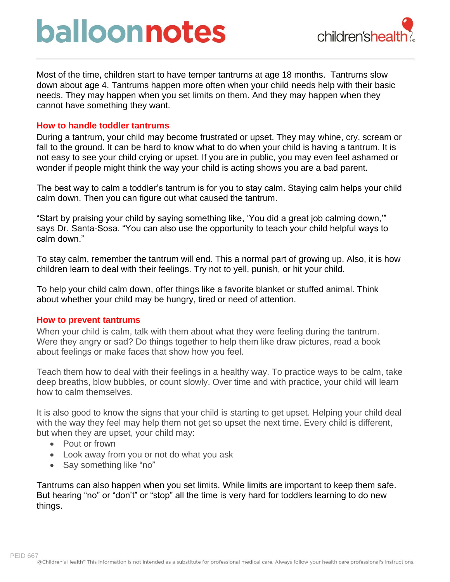### balloonnotes



Most of the time, children start to have temper tantrums at age 18 months. Tantrums slow down about age 4. Tantrums happen more often when your child needs help with their basic needs. They may happen when you set limits on them. And they may happen when they cannot have something they want.

#### **How to handle toddler tantrums**

During a tantrum, your child may become frustrated or upset. They may whine, cry, scream or fall to the ground. It can be hard to know what to do when your child is having a tantrum. It is not easy to see your child crying or upset. If you are in public, you may even feel ashamed or wonder if people might think the way your child is acting shows you are a bad parent.

The best way to calm a toddler's tantrum is for you to stay calm. Staying calm helps your child calm down. Then you can figure out what caused the tantrum.

"Start by praising your child by saying something like, 'You did a great job calming down,'" says Dr. Santa-Sosa. "You can also use the opportunity to teach your child helpful ways to calm down."

To stay calm, remember the tantrum will end. This a normal part of growing up. Also, it is how children learn to deal with their feelings. Try not to yell, punish, or hit your child.

To help your child calm down, offer things like a favorite blanket or stuffed animal. Think about whether your child may be hungry, tired or need of attention.

#### **How to prevent tantrums**

When your child is calm, talk with them about what they were feeling during the tantrum. Were they angry or sad? Do things together to help them like draw pictures, read a book about feelings or make faces that show how you feel.

Teach them how to deal with their feelings in a healthy way. To practice ways to be calm, take deep breaths, blow bubbles, or count slowly. Over time and with practice, your child will learn how to calm themselves.

It is also good to know the signs that your child is starting to get upset. Helping your child deal with the way they feel may help them not get so upset the next time. Every child is different, but when they are upset, your child may:

- Pout or frown
- Look away from you or not do what you ask
- Say something like "no"

Tantrums can also happen when you set limits. While limits are important to keep them safe. But hearing "no" or "don't" or "stop" all the time is very hard for toddlers learning to do new things.

PEID 667<br>@Children's Health® This information is not intended as a substitute for professional medical care. Always follow your health care professional's instructions.